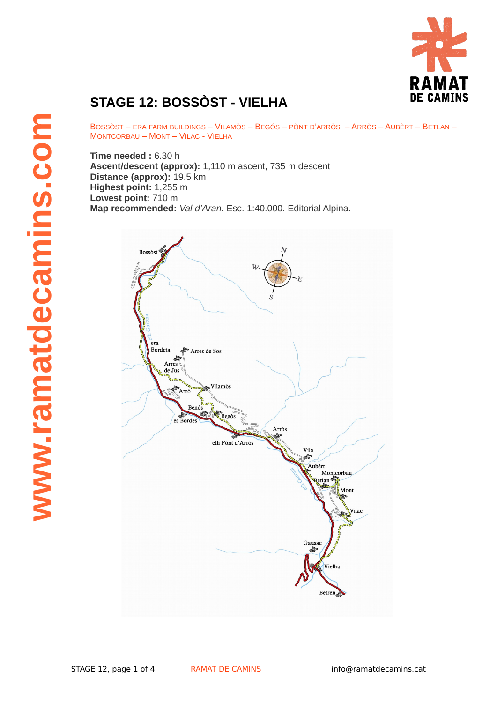

## **STAGE 12: BOSSÒST - VIELHA**

BOSSÒST – ERA FARM BUILDINGS – VILAMÒS – BEGÓS – PÒNT D'ARRÒS – ARRÒS – AUBÈRT – BETLAN – MONTCORBAU – MONT – VILAC - VIELHA

**Time needed :** 6.30 h **Ascent/descent (approx):** 1,110 m ascent, 735 m descent **Distance (approx):** 19.5 km **Highest point:** 1,255 m **Lowest point:** 710 m **Map recommended:** *Val d'Aran.* Esc. 1:40.000. Editorial Alpina.

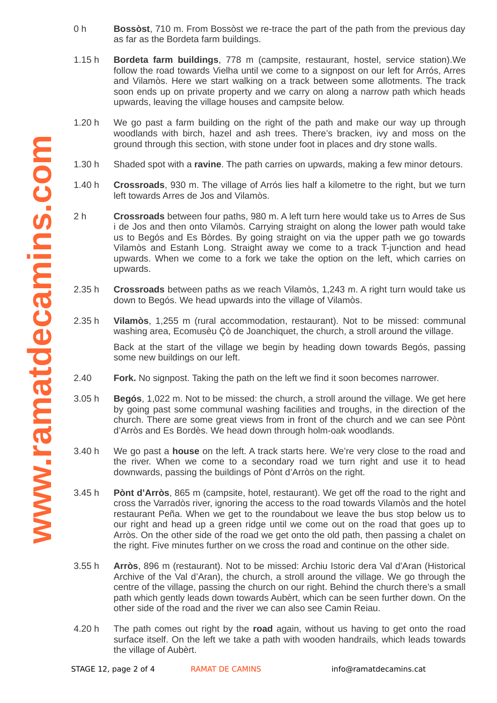- 0 h **Bossòst**, 710 m. From Bossòst we re-trace the part of the path from the previous day as far as the Bordeta farm buildings.
- 1.15 h **Bordeta farm buildings**, 778 m (campsite, restaurant, hostel, service station).We follow the road towards Vielha until we come to a signpost on our left for Arrós, Arres and Vilamòs. Here we start walking on a track between some allotments. The track soon ends up on private property and we carry on along a narrow path which heads upwards, leaving the village houses and campsite below.
- 1.20 h We go past a farm building on the right of the path and make our way up through woodlands with birch, hazel and ash trees. There's bracken, ivy and moss on the ground through this section, with stone under foot in places and dry stone walls.
- $1.30h$ 1.30 h Shaded spot with a **ravine**. The path carries on upwards, making a few minor detours.
- 1.40 h **Crossroads**, 930 m. The village of Arrós lies half a kilometre to the right, but we turn left towards Arres de Jos and Vilamòs.
- 2 h **Crossroads** between four paths, 980 m. A left turn here would take us to Arres de Sus i de Jos and then onto Vilamòs. Carrying straight on along the lower path would take us to Begós and Es Bòrdes. By going straight on via the upper path we go towards Vilamòs and Estanh Long. Straight away we come to a track T-junction and head upwards. When we come to a fork we take the option on the left, which carries on upwards.
- $2.35h$ **Crossroads** between paths as we reach Vilamòs, 1,243 m. A right turn would take us down to Begós. We head upwards into the village of Vilamòs.
- 2.35 h **Vilamòs**, 1,255 m (rural accommodation, restaurant). Not to be missed: communal washing area, Ecomusèu Çò de Joanchiquet, the church, a stroll around the village.

Back at the start of the village we begin by heading down towards Begós, passing some new buildings on our left.

- 2.40 **Fork.** No signpost. Taking the path on the left we find it soon becomes narrower.
- 3.05 h **Begós**, 1,022 m. Not to be missed: the church, a stroll around the village. We get here by going past some communal washing facilities and troughs, in the direction of the church. There are some great views from in front of the church and we can see Pònt d'Arròs and Es Bordès. We head down through holm-oak woodlands.
- 3.40 h We go past a **house** on the left. A track starts here. We're very close to the road and the river. When we come to a secondary road we turn right and use it to head downwards, passing the buildings of Pònt d'Arròs on the right.
- 3.45 h **Pònt d'Arròs**, 865 m (campsite, hotel, restaurant). We get off the road to the right and cross the Varradòs river, ignoring the access to the road towards Vilamòs and the hotel restaurant Peña. When we get to the roundabout we leave the bus stop below us to our right and head up a green ridge until we come out on the road that goes up to Arròs. On the other side of the road we get onto the old path, then passing a chalet on the right. Five minutes further on we cross the road and continue on the other side.
- 3.55 h **Arròs**, 896 m (restaurant). Not to be missed: Archiu Istoric dera Val d'Aran (Historical Archive of the Val d'Aran), the church, a stroll around the village. We go through the centre of the village, passing the church on our right. Behind the church there's a small path which gently leads down towards Aubèrt, which can be seen further down. On the other side of the road and the river we can also see Camin Reiau.
- 4.20 h The path comes out right by the **road** again, without us having to get onto the road surface itself. On the left we take a path with wooden handrails, which leads towards the village of Aubèrt.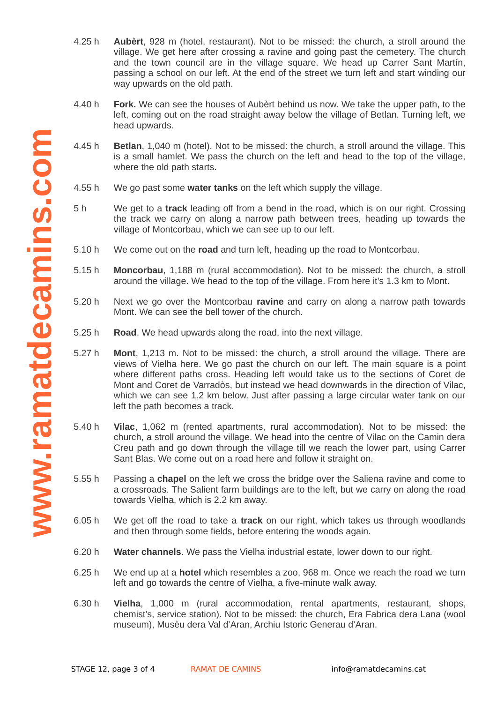- 4.25 h **Aubèrt**, 928 m (hotel, restaurant). Not to be missed: the church, a stroll around the village. We get here after crossing a ravine and going past the cemetery. The church and the town council are in the village square. We head up Carrer Sant Martín, passing a school on our left. At the end of the street we turn left and start winding our way upwards on the old path.
- 4.40 h **Fork.** We can see the houses of Aubèrt behind us now. We take the upper path, to the left, coming out on the road straight away below the village of Betlan. Turning left, we head upwards.
- 4.45 h **Betlan**, 1,040 m (hotel). Not to be missed: the church, a stroll around the village. This is a small hamlet. We pass the church on the left and head to the top of the village, where the old path starts.
- 4.55 h We go past some **water tanks** on the left which supply the village.
- 5 h We get to a **track** leading off from a bend in the road, which is on our right. Crossing the track we carry on along a narrow path between trees, heading up towards the village of Montcorbau, which we can see up to our left.
- 5.10 h We come out on the **road** and turn left, heading up the road to Montcorbau.
- 5.15 h **Moncorbau**, 1,188 m (rural accommodation). Not to be missed: the church, a stroll around the village. We head to the top of the village. From here it's 1.3 km to Mont.
- 5.20 h Next we go over the Montcorbau **ravine** and carry on along a narrow path towards Mont. We can see the bell tower of the church.
- 5.25 h **Road**. We head upwards along the road, into the next village.
- 5.27 h **Mont**, 1,213 m. Not to be missed: the church, a stroll around the village. There are views of Vielha here. We go past the church on our left. The main square is a point where different paths cross. Heading left would take us to the sections of Coret de Mont and Coret de Varradòs, but instead we head downwards in the direction of Vilac, which we can see 1.2 km below. Just after passing a large circular water tank on our left the path becomes a track.
- 5.40 h **Vilac**, 1,062 m (rented apartments, rural accommodation). Not to be missed: the church, a stroll around the village. We head into the centre of Vilac on the Camin dera Creu path and go down through the village till we reach the lower part, using Carrer Sant Blas. We come out on a road here and follow it straight on.
- 5.55 h Passing a **chapel** on the left we cross the bridge over the Saliena ravine and come to a crossroads. The Salient farm buildings are to the left, but we carry on along the road towards Vielha, which is 2.2 km away.
- 6.05 h We get off the road to take a **track** on our right, which takes us through woodlands and then through some fields, before entering the woods again.
- 6.20 h **Water channels**. We pass the Vielha industrial estate, lower down to our right.
- 6.25 h We end up at a **hotel** which resembles a zoo, 968 m. Once we reach the road we turn left and go towards the centre of Vielha, a five-minute walk away.
- 6.30 h **Vielha**, 1,000 m (rural accommodation, rental apartments, restaurant, shops, chemist's, service station). Not to be missed: the church, Era Fabrica dera Lana (wool museum), Musèu dera Val d'Aran, Archiu Istoric Generau d'Aran.